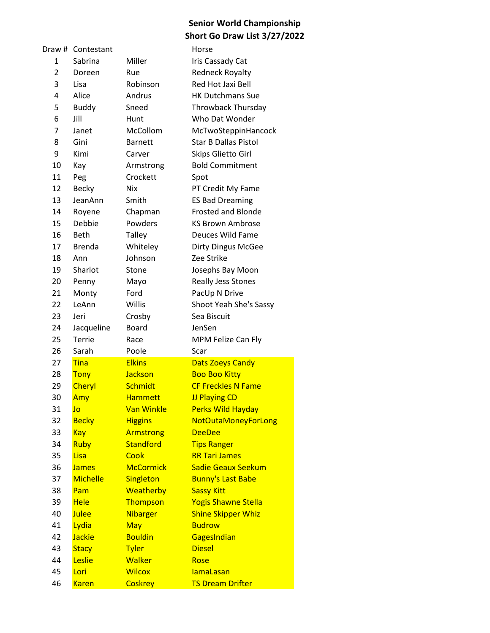|                | Draw # Contestant |                   | Horse                       |
|----------------|-------------------|-------------------|-----------------------------|
| 1              | Sabrina           | Miller            | Iris Cassady Cat            |
| $\overline{2}$ | Doreen            | Rue               | <b>Redneck Royalty</b>      |
| 3              | Lisa              | Robinson          | Red Hot Jaxi Bell           |
| 4              | Alice             | Andrus            | <b>HK Dutchmans Sue</b>     |
| 5              | <b>Buddy</b>      | Sneed             | <b>Throwback Thursday</b>   |
| 6              | Jill              | Hunt              | Who Dat Wonder              |
| 7              | Janet             | McCollom          | McTwoSteppinHancock         |
| 8              | Gini              | <b>Barnett</b>    | <b>Star B Dallas Pistol</b> |
| 9              | Kimi              | Carver            | Skips Glietto Girl          |
| 10             | Kay               | Armstrong         | <b>Bold Commitment</b>      |
| 11             | Peg               | Crockett          | Spot                        |
| 12             | <b>Becky</b>      | Nix               | PT Credit My Fame           |
| 13             | JeanAnn           | Smith             | <b>ES Bad Dreaming</b>      |
| 14             | Royene            | Chapman           | <b>Frosted and Blonde</b>   |
| 15             | Debbie            | Powders           | <b>KS Brown Ambrose</b>     |
| 16             | <b>Beth</b>       | Talley            | Deuces Wild Fame            |
| 17             | <b>Brenda</b>     | Whiteley          | <b>Dirty Dingus McGee</b>   |
| 18             | Ann               | Johnson           | Zee Strike                  |
| 19             | Sharlot           | Stone             | Josephs Bay Moon            |
| 20             | Penny             | Mayo              | <b>Really Jess Stones</b>   |
| 21             | Monty             | Ford              | PacUp N Drive               |
| 22             | LeAnn             | Willis            | Shoot Yeah She's Sassy      |
| 23             | Jeri              | Crosby            | Sea Biscuit                 |
| 24             | Jacqueline        | <b>Board</b>      | JenSen                      |
| 25             | <b>Terrie</b>     | Race              | MPM Felize Can Fly          |
| 26             | Sarah             | Poole             | Scar                        |
| 27             | <b>Tina</b>       | <b>Elkins</b>     | <b>Dats Zoeys Candy</b>     |
| 28             | <b>Tony</b>       | Jackson           | <b>Boo Boo Kitty</b>        |
| 29             | <b>Cheryl</b>     | Schmidt           | <b>CF Freckles N Fame</b>   |
| 30             | Amy               | <b>Hammett</b>    | <b>JJ Playing CD</b>        |
| 31             | Jo                | <b>Van Winkle</b> | <b>Perks Wild Hayday</b>    |
| 32             | <b>Becky</b>      | <b>Higgins</b>    | <b>NotOutaMoneyForLong</b>  |
| 33             | <b>Kay</b>        | <b>Armstrong</b>  | <b>DeeDee</b>               |
| 34             | Ruby              | <b>Standford</b>  | <b>Tips Ranger</b>          |
| 35             | Lisa              | Cook              | <b>RR Tari James</b>        |
| 36             | <b>James</b>      | <b>McCormick</b>  | <b>Sadie Geaux Seekum</b>   |
| 37             | <b>Michelle</b>   | Singleton         | <b>Bunny's Last Babe</b>    |
| 38             | Pam               | <b>Weatherby</b>  | <b>Sassy Kitt</b>           |
| 39             | <b>Hele</b>       | Thompson          | <b>Yogis Shawne Stella</b>  |
| 40             | <b>Julee</b>      | <b>Nibarger</b>   | <b>Shine Skipper Whiz</b>   |
| 41             | Lydia             | May               | <b>Budrow</b>               |
| 42             | <b>Jackie</b>     | <b>Bouldin</b>    | GagesIndian                 |
| 43             | <b>Stacy</b>      | <b>Tyler</b>      | <b>Diesel</b>               |
| 44             | Leslie            | <b>Walker</b>     | Rose                        |
| 45             | Lori              | <b>Wilcox</b>     | <b>lamaLasan</b>            |
| 46             | <b>Karen</b>      | <b>Coskrey</b>    | <b>TS Dream Drifter</b>     |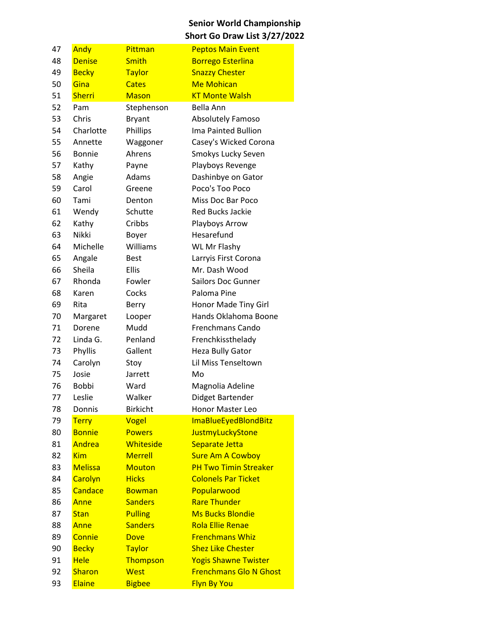| 47 | Andy           | Pittman         | <b>Peptos Main Event</b>      |
|----|----------------|-----------------|-------------------------------|
| 48 | <b>Denise</b>  | <b>Smith</b>    | <b>Borrego Esterlina</b>      |
| 49 | <b>Becky</b>   | <b>Taylor</b>   | <b>Snazzy Chester</b>         |
| 50 | Gina           | <b>Cates</b>    | <b>Me Mohican</b>             |
| 51 | <b>Sherri</b>  | <b>Mason</b>    | <b>KT Monte Walsh</b>         |
| 52 | Pam            | Stephenson      | Bella Ann                     |
| 53 | Chris          | <b>Bryant</b>   | Absolutely Famoso             |
| 54 | Charlotte      | Phillips        | Ima Painted Bullion           |
| 55 | Annette        | Waggoner        | Casey's Wicked Corona         |
| 56 | <b>Bonnie</b>  | Ahrens          | Smokys Lucky Seven            |
| 57 | Kathy          | Payne           | Playboys Revenge              |
| 58 | Angie          | Adams           | Dashinbye on Gator            |
| 59 | Carol          | Greene          | Poco's Too Poco               |
| 60 | Tami           | Denton          | Miss Doc Bar Poco             |
| 61 | Wendy          | Schutte         | <b>Red Bucks Jackie</b>       |
| 62 | Kathy          | Cribbs          | Playboys Arrow                |
| 63 | Nikki          | Boyer           | Hesarefund                    |
| 64 | Michelle       | Williams        | <b>WL Mr Flashy</b>           |
| 65 | Angale         | <b>Best</b>     | Larryis First Corona          |
| 66 | Sheila         | <b>Ellis</b>    | Mr. Dash Wood                 |
| 67 | Rhonda         | Fowler          | <b>Sailors Doc Gunner</b>     |
| 68 | Karen          | Cocks           | Paloma Pine                   |
| 69 | Rita           | Berry           | Honor Made Tiny Girl          |
| 70 | Margaret       | Looper          | Hands Oklahoma Boone          |
| 71 | Dorene         | Mudd            | <b>Frenchmans Cando</b>       |
| 72 | Linda G.       | Penland         | Frenchkissthelady             |
| 73 | Phyllis        | Gallent         | Heza Bully Gator              |
| 74 | Carolyn        | Stoy            | Lil Miss Tenseltown           |
| 75 | Josie          | Jarrett         | Mo                            |
| 76 | <b>Bobbi</b>   | Ward            | Magnolia Adeline              |
| 77 | Leslie         | Walker          | Didget Bartender              |
| 78 | Donnis         | <b>Birkicht</b> | Honor Master Leo              |
| 79 | <b>Terry</b>   | Vogel           | ImaBlueEyedBlondBitz          |
| 80 | <b>Bonnie</b>  | <b>Powers</b>   | JustmyLuckyStone              |
| 81 | Andrea         | Whiteside       | Separate Jetta                |
| 82 | <b>Kim</b>     | <b>Merrell</b>  | <b>Sure Am A Cowboy</b>       |
| 83 | <b>Melissa</b> | <b>Mouton</b>   | <b>PH Two Timin Streaker</b>  |
| 84 | Carolyn        | <b>Hicks</b>    | <b>Colonels Par Ticket</b>    |
| 85 | Candace        | <b>Bowman</b>   | Popularwood                   |
| 86 | Anne           | <b>Sanders</b>  | <b>Rare Thunder</b>           |
| 87 | <b>Stan</b>    | <b>Pulling</b>  | <b>Ms Bucks Blondie</b>       |
| 88 | Anne           | <b>Sanders</b>  | <b>Rola Ellie Renae</b>       |
| 89 | Connie         | <b>Dove</b>     | <b>Frenchmans Whiz</b>        |
| 90 | <b>Becky</b>   | <b>Taylor</b>   | <b>Shez Like Chester</b>      |
| 91 | <b>Hele</b>    | Thompson        | <b>Yogis Shawne Twister</b>   |
| 92 | <b>Sharon</b>  | <b>West</b>     | <b>Frenchmans Glo N Ghost</b> |
| 93 | Elaine         | <b>Bigbee</b>   | <b>Flyn By You</b>            |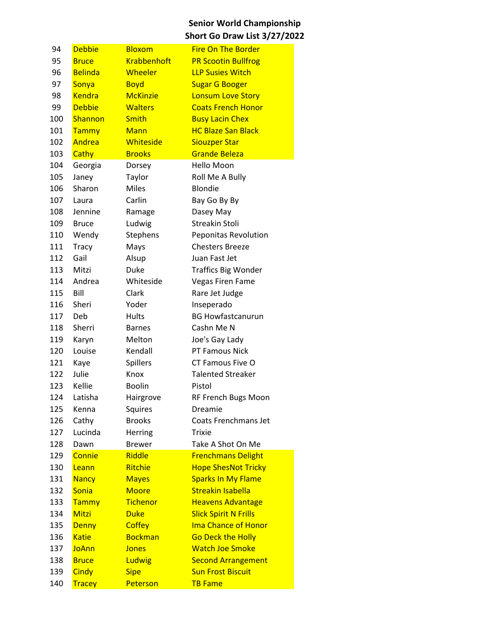| 94  | <b>Debbie</b>  | <b>Bloxom</b>      | <b>Fire On The Border</b>    |
|-----|----------------|--------------------|------------------------------|
| 95  | <b>Bruce</b>   | <b>Krabbenhoft</b> | <b>PR Scootin Bullfrog</b>   |
| 96  | <b>Belinda</b> | Wheeler            | <b>LLP Susies Witch</b>      |
| 97  | Sonya          | <b>Boyd</b>        | <b>Sugar G Booger</b>        |
| 98  | <b>Kendra</b>  | <b>McKinzie</b>    | <b>Lonsum Love Story</b>     |
| 99  | <b>Debbie</b>  | <b>Walters</b>     | <b>Coats French Honor</b>    |
| 100 | Shannon        | <b>Smith</b>       | <b>Busy Lacin Chex</b>       |
| 101 | <b>Tammy</b>   | <b>Mann</b>        | <b>HC Blaze San Black</b>    |
| 102 | Andrea         | Whiteside          | <b>Siouzper Star</b>         |
| 103 | Cathy          | <b>Brooks</b>      | <b>Grande Beleza</b>         |
| 104 | Georgia        | Dorsey             | Hello Moon                   |
| 105 | Janey          | Taylor             | Roll Me A Bully              |
| 106 | Sharon         | <b>Miles</b>       | Blondie                      |
| 107 | Laura          | Carlin             | Bay Go By By                 |
| 108 | Jennine        | Ramage             | Dasey May                    |
| 109 | <b>Bruce</b>   | Ludwig             | Streakin Stoli               |
| 110 | Wendy          | Stephens           | <b>Peponitas Revolution</b>  |
| 111 | <b>Tracy</b>   | Mays               | <b>Chesters Breeze</b>       |
| 112 | Gail           | Alsup              | Juan Fast Jet                |
| 113 | Mitzi          | Duke               | <b>Traffics Big Wonder</b>   |
| 114 | Andrea         | Whiteside          | <b>Vegas Firen Fame</b>      |
| 115 | Bill           | Clark              | Rare Jet Judge               |
| 116 | Sheri          | Yoder              | Inseperado                   |
| 117 | Deb            | <b>Hults</b>       | <b>BG Howfastcanurun</b>     |
| 118 | Sherri         | <b>Barnes</b>      | Cashn Me N                   |
| 119 | Karyn          | Melton             | Joe's Gay Lady               |
| 120 | Louise         | Kendall            | PT Famous Nick               |
| 121 | Kaye           | <b>Spillers</b>    | CT Famous Five O             |
| 122 | Julie          | Knox               | <b>Talented Streaker</b>     |
| 123 | Kellie         | <b>Boolin</b>      | Pistol                       |
| 124 | Latisha        | Hairgrove          | RF French Bugs Moon          |
| 125 | Kenna          | Squires            | Dreamie                      |
| 126 | Cathy          | <b>Brooks</b>      | Coats Frenchmans Jet         |
| 127 | Lucinda        | Herring            | Trixie                       |
| 128 | Dawn           | <b>Brewer</b>      | Take A Shot On Me            |
| 129 | Connie         | Riddle             | <b>Frenchmans Delight</b>    |
| 130 | Leann          | Ritchie            | <b>Hope ShesNot Tricky</b>   |
| 131 | <b>Nancy</b>   | <b>Mayes</b>       | <b>Sparks In My Flame</b>    |
| 132 | Sonia          | <b>Moore</b>       | <b>Streakin Isabella</b>     |
| 133 | Tammy          | <b>Tichenor</b>    | <b>Heavens Advantage</b>     |
| 134 | Mitzi          | <b>Duke</b>        | <b>Slick Spirit N Frills</b> |
| 135 | <b>Denny</b>   | <b>Coffey</b>      | <b>Ima Chance of Honor</b>   |
| 136 | <b>Katie</b>   | <b>Bockman</b>     | <b>Go Deck the Holly</b>     |
| 137 | <b>JoAnn</b>   | <b>Jones</b>       | <b>Watch Joe Smoke</b>       |
| 138 | <b>Bruce</b>   | Ludwig             | <b>Second Arrangement</b>    |
| 139 | <b>Cindy</b>   | <b>Sipe</b>        | <b>Sun Frost Biscuit</b>     |
| 140 | <b>Tracey</b>  | Peterson           | <b>TB Fame</b>               |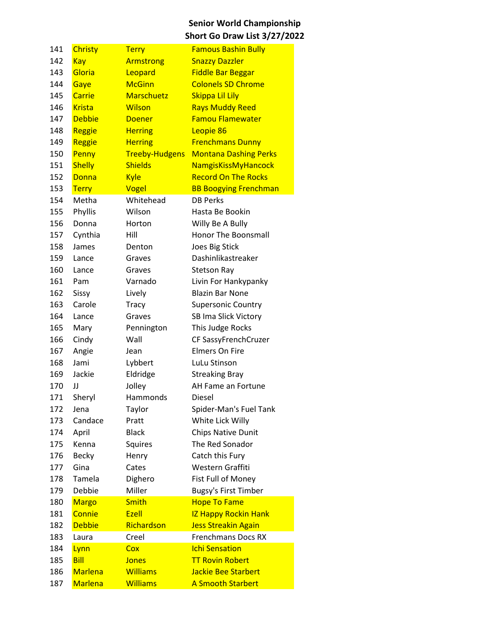| 141 | Christy        | <b>Terry</b>          | <b>Famous Bashin Bully</b>   |
|-----|----------------|-----------------------|------------------------------|
| 142 | Kay            | <b>Armstrong</b>      | <b>Snazzy Dazzler</b>        |
| 143 | Gloria         | Leopard               | <b>Fiddle Bar Beggar</b>     |
| 144 | Gaye           | <b>McGinn</b>         | <b>Colonels SD Chrome</b>    |
| 145 | Carrie         | <b>Marschuetz</b>     | Skippa Lil Lily              |
| 146 | <b>Krista</b>  | Wilson                | <b>Rays Muddy Reed</b>       |
| 147 | <b>Debbie</b>  | <b>Doener</b>         | <b>Famou Flamewater</b>      |
| 148 | Reggie         | <b>Herring</b>        | Leopie 86                    |
| 149 | Reggie         | <b>Herring</b>        | <b>Frenchmans Dunny</b>      |
| 150 | Penny          | <b>Treeby-Hudgens</b> | <b>Montana Dashing Perks</b> |
| 151 | <b>Shelly</b>  | <b>Shields</b>        | <b>NamgisKissMyHancock</b>   |
| 152 | <b>Donna</b>   | <b>Kyle</b>           | <b>Record On The Rocks</b>   |
| 153 | <b>Terry</b>   | Vogel                 | <b>BB Boogying Frenchman</b> |
| 154 | Metha          | Whitehead             | <b>DB Perks</b>              |
| 155 | Phyllis        | Wilson                | Hasta Be Bookin              |
| 156 | Donna          | Horton                | Willy Be A Bully             |
| 157 | Cynthia        | Hill                  | Honor The Boonsmall          |
| 158 | James          | Denton                | Joes Big Stick               |
| 159 | Lance          | Graves                | Dashinlikastreaker           |
| 160 | Lance          | Graves                | <b>Stetson Ray</b>           |
| 161 | Pam            | Varnado               | Livin For Hankypanky         |
| 162 | Sissy          | Lively                | <b>Blazin Bar None</b>       |
| 163 | Carole         | Tracy                 | <b>Supersonic Country</b>    |
| 164 | Lance          | Graves                | SB Ima Slick Victory         |
| 165 | Mary           | Pennington            | This Judge Rocks             |
| 166 | Cindy          | Wall                  | CF SassyFrenchCruzer         |
| 167 | Angie          | Jean                  | <b>Elmers On Fire</b>        |
| 168 | Jami           | Lybbert               | LuLu Stinson                 |
| 169 | Jackie         | Eldridge              | <b>Streaking Bray</b>        |
| 170 | IJ             | Jolley                | AH Fame an Fortune           |
| 171 | Sheryl         | Hammonds              | Diesel                       |
| 172 | Jena           | Taylor                | Spider-Man's Fuel Tank       |
| 173 | Candace        | Pratt                 | White Lick Willy             |
| 174 | April          | <b>Black</b>          | <b>Chips Native Dunit</b>    |
| 175 | Kenna          | Squires               | The Red Sonador              |
| 176 | <b>Becky</b>   | Henry                 | Catch this Fury              |
| 177 | Gina           | Cates                 | Western Graffiti             |
| 178 | Tamela         | Dighero               | Fist Full of Money           |
| 179 | Debbie         | Miller                | <b>Bugsy's First Timber</b>  |
| 180 | <b>Margo</b>   | <b>Smith</b>          | <b>Hope To Fame</b>          |
| 181 | Connie         | Ezell                 | <b>IZ Happy Rockin Hank</b>  |
| 182 | <b>Debbie</b>  | Richardson            | <b>Jess Streakin Again</b>   |
| 183 | Laura          | Creel                 | <b>Frenchmans Docs RX</b>    |
| 184 | Lynn           | Cox                   | <b>Ichi Sensation</b>        |
| 185 | <b>Bill</b>    | <b>Jones</b>          | <b>TT Rovin Robert</b>       |
| 186 | <b>Marlena</b> | <b>Williams</b>       | <b>Jackie Bee Starbert</b>   |
| 187 | <b>Marlena</b> | <b>Williams</b>       | <b>A Smooth Starbert</b>     |